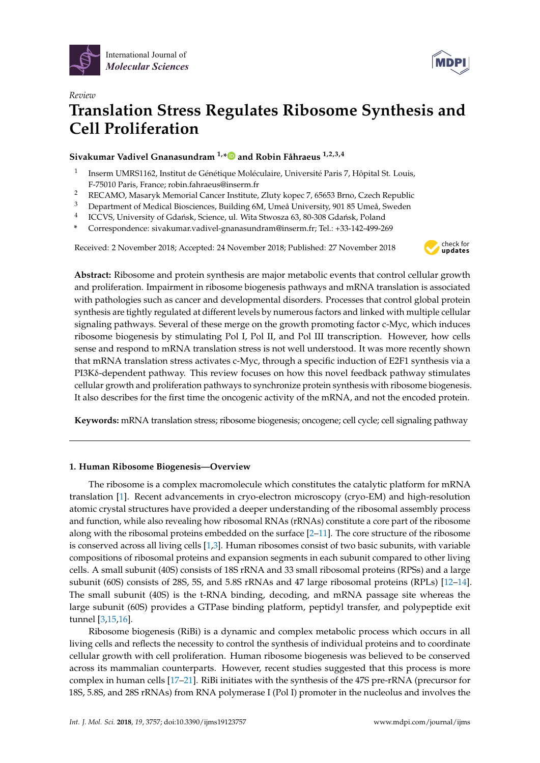



# *Review* **Translation Stress Regulates Ribosome Synthesis and Cell Proliferation**

**Sivakumar Vadivel Gnanasundram 1,[\\*](https://orcid.org/0000-0001-9153-0784) and Robin Fåhraeus 1,2,3,4**

- 1 Inserm UMRS1162, Institut de Génétique Moléculaire, Université Paris 7, Hôpital St. Louis, F-75010 Paris, France; robin.fahraeus@inserm.fr
- <sup>2</sup> RECAMO, Masaryk Memorial Cancer Institute, Zluty kopec 7, 65653 Brno, Czech Republic<br><sup>3</sup> Department of Medical Bioccioness, Building 6M, Umo<sup>3</sup> University, 901, 85 Umo<sup>3</sup> Sueden.
- <sup>3</sup> Department of Medical Biosciences, Building 6M, Umeå University, 901 85 Umeå, Sweden
- 4 ICCVS, University of Gdańsk, Science, ul. Wita Stwosza 63, 80-308 Gdańsk, Poland
- **\*** Correspondence: sivakumar.vadivel-gnanasundram@inserm.fr; Tel.: +33-142-499-269

Received: 2 November 2018; Accepted: 24 November 2018; Published: 27 November 2018



**Abstract:** Ribosome and protein synthesis are major metabolic events that control cellular growth and proliferation. Impairment in ribosome biogenesis pathways and mRNA translation is associated with pathologies such as cancer and developmental disorders. Processes that control global protein synthesis are tightly regulated at different levels by numerous factors and linked with multiple cellular signaling pathways. Several of these merge on the growth promoting factor c-Myc, which induces ribosome biogenesis by stimulating Pol I, Pol II, and Pol III transcription. However, how cells sense and respond to mRNA translation stress is not well understood. It was more recently shown that mRNA translation stress activates c-Myc, through a specific induction of E2F1 synthesis via a PI3Kδ-dependent pathway. This review focuses on how this novel feedback pathway stimulates cellular growth and proliferation pathways to synchronize protein synthesis with ribosome biogenesis. It also describes for the first time the oncogenic activity of the mRNA, and not the encoded protein.

**Keywords:** mRNA translation stress; ribosome biogenesis; oncogene; cell cycle; cell signaling pathway

### **1. Human Ribosome Biogenesis—Overview**

The ribosome is a complex macromolecule which constitutes the catalytic platform for mRNA translation [\[1\]](#page-6-0). Recent advancements in cryo-electron microscopy (cryo-EM) and high-resolution atomic crystal structures have provided a deeper understanding of the ribosomal assembly process and function, while also revealing how ribosomal RNAs (rRNAs) constitute a core part of the ribosome along with the ribosomal proteins embedded on the surface [\[2](#page-6-1)[–11\]](#page-6-2). The core structure of the ribosome is conserved across all living cells  $[1,3]$  $[1,3]$ . Human ribosomes consist of two basic subunits, with variable compositions of ribosomal proteins and expansion segments in each subunit compared to other living cells. A small subunit (40S) consists of 18S rRNA and 33 small ribosomal proteins (RPSs) and a large subunit (60S) consists of 28S, 5S, and 5.8S rRNAs and 47 large ribosomal proteins (RPLs) [\[12–](#page-6-4)[14\]](#page-6-5). The small subunit (40S) is the t-RNA binding, decoding, and mRNA passage site whereas the large subunit (60S) provides a GTPase binding platform, peptidyl transfer, and polypeptide exit tunnel [\[3](#page-6-3)[,15](#page-6-6)[,16\]](#page-6-7).

Ribosome biogenesis (RiBi) is a dynamic and complex metabolic process which occurs in all living cells and reflects the necessity to control the synthesis of individual proteins and to coordinate cellular growth with cell proliferation. Human ribosome biogenesis was believed to be conserved across its mammalian counterparts. However, recent studies suggested that this process is more complex in human cells [\[17–](#page-6-8)[21\]](#page-7-0). RiBi initiates with the synthesis of the 47S pre-rRNA (precursor for 18S, 5.8S, and 28S rRNAs) from RNA polymerase I (Pol I) promoter in the nucleolus and involves the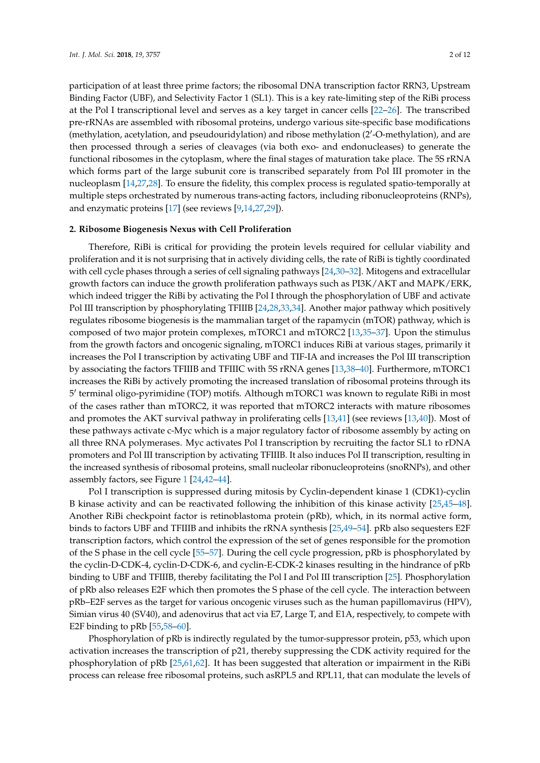participation of at least three prime factors; the ribosomal DNA transcription factor RRN3, Upstream Binding Factor (UBF), and Selectivity Factor 1 (SL1). This is a key rate-limiting step of the RiBi process at the Pol I transcriptional level and serves as a key target in cancer cells [\[22](#page-7-1)[–26\]](#page-7-2). The transcribed pre-rRNAs are assembled with ribosomal proteins, undergo various site-specific base modifications (methylation, acetylation, and pseudouridylation) and ribose methylation (2'-O-methylation), and are then processed through a series of cleavages (via both exo- and endonucleases) to generate the functional ribosomes in the cytoplasm, where the final stages of maturation take place. The 5S rRNA which forms part of the large subunit core is transcribed separately from Pol III promoter in the nucleoplasm [\[14](#page-6-5)[,27](#page-7-3)[,28\]](#page-7-4). To ensure the fidelity, this complex process is regulated spatio-temporally at multiple steps orchestrated by numerous trans-acting factors, including ribonucleoproteins (RNPs), and enzymatic proteins [\[17\]](#page-6-8) (see reviews [\[9,](#page-6-9)[14,](#page-6-5)[27,](#page-7-3)[29\]](#page-7-5)).

#### **2. Ribosome Biogenesis Nexus with Cell Proliferation**

Therefore, RiBi is critical for providing the protein levels required for cellular viability and proliferation and it is not surprising that in actively dividing cells, the rate of RiBi is tightly coordinated with cell cycle phases through a series of cell signaling pathways [\[24](#page-7-6)[,30](#page-7-7)[–32\]](#page-7-8). Mitogens and extracellular growth factors can induce the growth proliferation pathways such as PI3K/AKT and MAPK/ERK, which indeed trigger the RiBi by activating the Pol I through the phosphorylation of UBF and activate Pol III transcription by phosphorylating TFIIIB [\[24,](#page-7-6)[28](#page-7-4)[,33](#page-7-9)[,34\]](#page-7-10). Another major pathway which positively regulates ribosome biogenesis is the mammalian target of the rapamycin (mTOR) pathway, which is composed of two major protein complexes, mTORC1 and mTORC2 [\[13,](#page-6-10)[35–](#page-7-11)[37\]](#page-7-12). Upon the stimulus from the growth factors and oncogenic signaling, mTORC1 induces RiBi at various stages, primarily it increases the Pol I transcription by activating UBF and TIF-IA and increases the Pol III transcription by associating the factors TFIIIB and TFIIIC with 5S rRNA genes [\[13](#page-6-10)[,38–](#page-7-13)[40\]](#page-7-14). Furthermore, mTORC1 increases the RiBi by actively promoting the increased translation of ribosomal proteins through its 5 0 terminal oligo-pyrimidine (TOP) motifs. Although mTORC1 was known to regulate RiBi in most of the cases rather than mTORC2, it was reported that mTORC2 interacts with mature ribosomes and promotes the AKT survival pathway in proliferating cells [\[13](#page-6-10)[,41\]](#page-7-15) (see reviews [\[13](#page-6-10)[,40\]](#page-7-14)). Most of these pathways activate c-Myc which is a major regulatory factor of ribosome assembly by acting on all three RNA polymerases. Myc activates Pol I transcription by recruiting the factor SL1 to rDNA promoters and Pol III transcription by activating TFIIIB. It also induces Pol II transcription, resulting in the increased synthesis of ribosomal proteins, small nucleolar ribonucleoproteins (snoRNPs), and other assembly factors, see Figure [1](#page-2-0) [\[24,](#page-7-6)[42–](#page-7-16)[44\]](#page-8-0).

Pol I transcription is suppressed during mitosis by Cyclin-dependent kinase 1 (CDK1)-cyclin B kinase activity and can be reactivated following the inhibition of this kinase activity [\[25,](#page-7-17)[45–](#page-8-1)[48\]](#page-8-2). Another RiBi checkpoint factor is retinoblastoma protein (pRb), which, in its normal active form, binds to factors UBF and TFIIIB and inhibits the rRNA synthesis [\[25](#page-7-17)[,49–](#page-8-3)[54\]](#page-8-4). pRb also sequesters E2F transcription factors, which control the expression of the set of genes responsible for the promotion of the S phase in the cell cycle [\[55–](#page-8-5)[57\]](#page-8-6). During the cell cycle progression, pRb is phosphorylated by the cyclin-D-CDK-4, cyclin-D-CDK-6, and cyclin-E-CDK-2 kinases resulting in the hindrance of pRb binding to UBF and TFIIIB, thereby facilitating the Pol I and Pol III transcription [\[25\]](#page-7-17). Phosphorylation of pRb also releases E2F which then promotes the S phase of the cell cycle. The interaction between pRb–E2F serves as the target for various oncogenic viruses such as the human papillomavirus (HPV), Simian virus 40 (SV40), and adenovirus that act via E7, Large T, and E1A, respectively, to compete with E2F binding to pRb [\[55](#page-8-5)[,58](#page-8-7)[–60\]](#page-8-8).

Phosphorylation of pRb is indirectly regulated by the tumor-suppressor protein, p53, which upon activation increases the transcription of p21, thereby suppressing the CDK activity required for the phosphorylation of pRb [\[25,](#page-7-17)[61,](#page-8-9)[62\]](#page-8-10). It has been suggested that alteration or impairment in the RiBi process can release free ribosomal proteins, such asRPL5 and RPL11, that can modulate the levels of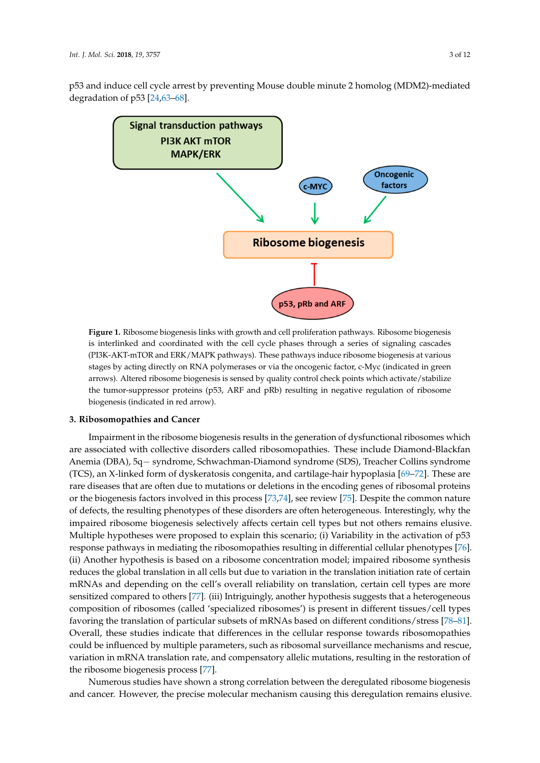<span id="page-2-0"></span>

p53 and induce cell cycle arrest by preventing Mouse double minute 2 homolog (MDM2)-mediated p53 and induce cell cycle arrest by preventing Mouse double minute 2 homolog (MDM2)-mediated



**Figure 1.** Ribosome biogenesis links with growth and cell proliferation pathways**.** Ribosome **Figure 1.** Ribosome biogenesis links with growth and cell proliferation pathways. Ribosome biogenesis is interlinked and coordinated with the cell cycle phases through a series of signaling cascades (PI3K-AKT-mTOR and ERK/MAPK pathways). These pathways induce ribosome biogenesis at various stages by acting directly on RNA polymerases or via the oncogenic factor, c-Myc (indicated in green arrows). Altered ribosome biogenesis is sensed by quality control check points which activate/stabilize the tumor-suppressor proteins (p53, ARF and pRb) resulting in negative regulation of ribosome biogenesis (indicated in red arrow).

## **3. Ribosomopathies and Cancer 3. Ribosomopathies and Cancer**

Impairment in the ribosome biogenesis results in the generation of dysfunctional ribosomes are associated with collective disorders called ribosomopathies. These include Diamond-Blackfan which are associated with collective disorders called ribosomopathies. These include Anemia (DBA), 5q− syndrome, Schwachman-Diamond syndrome (SDS), Treacher Collins syndrome Diamond-Blackfan Anemia (DBA), 5q− syndrome, Schwachman-Diamond syndrome (SDS), (TCS), an X-linked form of dyskeratosis congenita, and cartilage-hair hypoplasia [\[69](#page-9-2)[–72\]](#page-9-3). These are  $T_{\text{Cov}}$  and  $\frac{1}{N_{\text{Cov}}}$  and  $\frac{1}{N_{\text{Cov}}}$  and  $\frac{1}{N_{\text{Cov}}}$  and  $\frac{1}{N_{\text{Cov}}}$  and  $\frac{1}{N_{\text{Cov}}}$  and  $\frac{1}{N_{\text{Cov}}}$ rare diseases that are often due to mutations or deletions in the encoding genes of ribosomal proteins in the  $\frac{1}{100}$ of defects, the resulting phenotypes of these disorders are often heterogeneous. Interestingly, why the of defects, the resulting phenotypes of these disorders are often heterogeneous. Interestingly, why the In access, the resulting phenotypes of these disorders are often heterogeneous. Interestingly, why the impaired ribosome biogenesis selectively affects certain cell types but not others remains elusive. mipaired ribosome biogenesis selectively affects certain cert types but not offices remains enable.<br>Multiple hypotheses were proposed to explain this scenario; (i) Variability in the activation of p53 refluit types but the proposed to explain this secretarie, (i) variably in the derivation of post-<br>response pathways in mediating the ribosomopathies resulting in differential cellular phenotypes [\[76\]](#page-9-7). response pathways in mediating the ribosomopathies resulting in dimerential echalar priency pes proj.<br>(ii) Another hypothesis is based on a ribosome concentration model; impaired ribosome synthesis reduces the global translation in all cells but due to variation in the translation initiation rate of certain mRNAs and depending on the cell's overall reliability on translation, certain cell types are more the visiting depending on the tents overall relationly on the calculation, extensive of types are more sensitized compared to others [\[77\]](#page-9-8). (iii) Intriguingly, another hypothesis suggests that a heterogeneous reliability on translation, certain cell types are more sensitized compared to others [77]. (iii) composition of ribosomes (called 'specialized ribosomes') is present in different tissues/cell types Europession of ribosomes (cancel specialized ribosomes) is present in different assaes, can types favoring the translation of particular subsets of mRNAs based on different conditions/stress [\[78–](#page-9-9)[81\]](#page-9-10). Everall, these studies indicate that differences in the cellular response towards ribosomopathies Everall, these studies material that differences in the central response towards ribosomopathes<br>could be influenced by multiple parameters, such as ribosomal surveillance mechanisms and rescue, differences in the cellular response to the could be influenced by multiple parameters and research variation in mRNA translation rate, and compensatory allelic mutations, resulting in the restoration of Impairment in the ribosome biogenesis results in the generation of dysfunctional ribosomes which or the biogenesis factors involved in this process [\[73,](#page-9-4)[74\]](#page-9-5), see review [\[75\]](#page-9-6). Despite the common nature the ribosome biogenesis process [\[77\]](#page-9-8).

Numerous studies have shown a strong correlation between the deregulated ribosome biogenesis Numerous studies have shown a strong correlation between the deregulated ribosome biogenesis produced in the set of the set of the set of the set of the set of the set of the set of the set of the set of <br>decree set of the set of the set of the set of the set of the set of the set of the set of the set of the set and cancer. However, the precise molecular mechanism causing this deregulation remains elusive.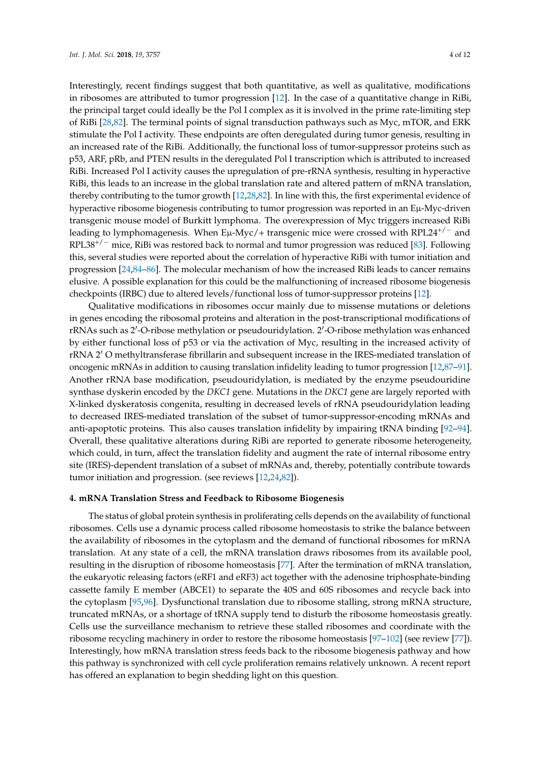Interestingly, recent findings suggest that both quantitative, as well as qualitative, modifications in ribosomes are attributed to tumor progression [\[12\]](#page-6-4). In the case of a quantitative change in RiBi, the principal target could ideally be the Pol I complex as it is involved in the prime rate-limiting step of RiBi [\[28,](#page-7-4)[82\]](#page-9-11). The terminal points of signal transduction pathways such as Myc, mTOR, and ERK stimulate the Pol I activity. These endpoints are often deregulated during tumor genesis, resulting in an increased rate of the RiBi. Additionally, the functional loss of tumor-suppressor proteins such as p53, ARF, pRb, and PTEN results in the deregulated Pol I transcription which is attributed to increased RiBi. Increased Pol I activity causes the upregulation of pre-rRNA synthesis, resulting in hyperactive RiBi, this leads to an increase in the global translation rate and altered pattern of mRNA translation, thereby contributing to the tumor growth [\[12](#page-6-4)[,28,](#page-7-4)[82\]](#page-9-11). In line with this, the first experimental evidence of hyperactive ribosome biogenesis contributing to tumor progression was reported in an Eµ-Myc-driven transgenic mouse model of Burkitt lymphoma. The overexpression of Myc triggers increased RiBi leading to lymphomagenesis. When Eµ-Myc/+ transgenic mice were crossed with RPL24<sup>+/-</sup> and RPL38+/<sup>−</sup> mice, RiBi was restored back to normal and tumor progression was reduced [\[83\]](#page-9-12). Following this, several studies were reported about the correlation of hyperactive RiBi with tumor initiation and progression [\[24,](#page-7-6)[84–](#page-9-13)[86\]](#page-10-0). The molecular mechanism of how the increased RiBi leads to cancer remains elusive. A possible explanation for this could be the malfunctioning of increased ribosome biogenesis checkpoints (IRBC) due to altered levels/functional loss of tumor-suppressor proteins [\[12\]](#page-6-4).

Qualitative modifications in ribosomes occur mainly due to missense mutations or deletions in genes encoding the ribosomal proteins and alteration in the post-transcriptional modifications of rRNAs such as 2'-O-ribose methylation or pseudouridylation. 2'-O-ribose methylation was enhanced by either functional loss of p53 or via the activation of Myc, resulting in the increased activity of rRNA 2<sup>'</sup> O methyltransferase fibrillarin and subsequent increase in the IRES-mediated translation of oncogenic mRNAs in addition to causing translation infidelity leading to tumor progression [\[12,](#page-6-4)[87–](#page-10-1)[91\]](#page-10-2). Another rRNA base modification, pseudouridylation, is mediated by the enzyme pseudouridine synthase dyskerin encoded by the *DKC1* gene. Mutations in the *DKC1* gene are largely reported with X-linked dyskeratosis congenita, resulting in decreased levels of rRNA pseudouridylation leading to decreased IRES-mediated translation of the subset of tumor-suppressor-encoding mRNAs and anti-apoptotic proteins. This also causes translation infidelity by impairing tRNA binding [\[92–](#page-10-3)[94\]](#page-10-4). Overall, these qualitative alterations during RiBi are reported to generate ribosome heterogeneity, which could, in turn, affect the translation fidelity and augment the rate of internal ribosome entry site (IRES)-dependent translation of a subset of mRNAs and, thereby, potentially contribute towards tumor initiation and progression. (see reviews [\[12,](#page-6-4)[24](#page-7-6)[,82\]](#page-9-11)).

### **4. mRNA Translation Stress and Feedback to Ribosome Biogenesis**

The status of global protein synthesis in proliferating cells depends on the availability of functional ribosomes. Cells use a dynamic process called ribosome homeostasis to strike the balance between the availability of ribosomes in the cytoplasm and the demand of functional ribosomes for mRNA translation. At any state of a cell, the mRNA translation draws ribosomes from its available pool, resulting in the disruption of ribosome homeostasis [\[77\]](#page-9-8). After the termination of mRNA translation, the eukaryotic releasing factors (eRF1 and eRF3) act together with the adenosine triphosphate-binding cassette family E member (ABCE1) to separate the 40S and 60S ribosomes and recycle back into the cytoplasm [\[95,](#page-10-5)[96\]](#page-10-6). Dysfunctional translation due to ribosome stalling, strong mRNA structure, truncated mRNAs, or a shortage of tRNA supply tend to disturb the ribosome homeostasis greatly. Cells use the surveillance mechanism to retrieve these stalled ribosomes and coordinate with the ribosome recycling machinery in order to restore the ribosome homeostasis [\[97–](#page-10-7)[102\]](#page-10-8) (see review [\[77\]](#page-9-8)). Interestingly, how mRNA translation stress feeds back to the ribosome biogenesis pathway and how this pathway is synchronized with cell cycle proliferation remains relatively unknown. A recent report has offered an explanation to begin shedding light on this question.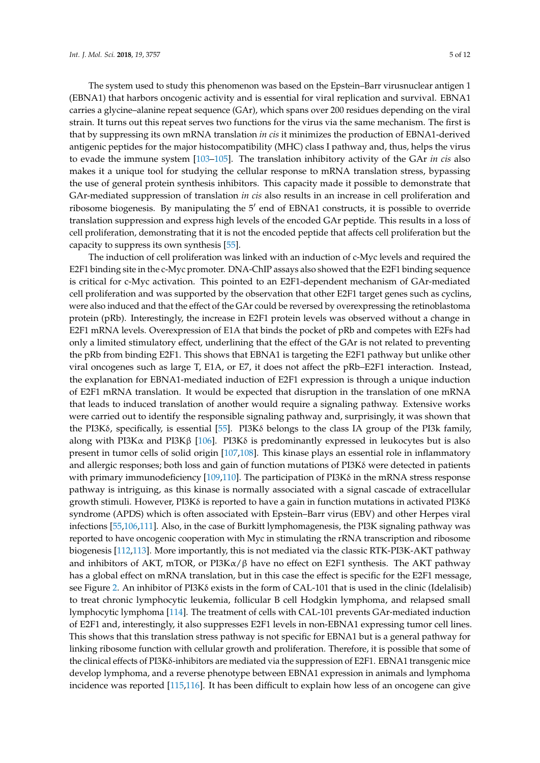The system used to study this phenomenon was based on the Epstein–Barr virusnuclear antigen 1 (EBNA1) that harbors oncogenic activity and is essential for viral replication and survival. EBNA1 carries a glycine–alanine repeat sequence (GAr), which spans over 200 residues depending on the viral strain. It turns out this repeat serves two functions for the virus via the same mechanism. The first is that by suppressing its own mRNA translation *in cis* it minimizes the production of EBNA1-derived antigenic peptides for the major histocompatibility (MHC) class I pathway and, thus, helps the virus to evade the immune system [\[103](#page-10-9)[–105\]](#page-11-0). The translation inhibitory activity of the GAr *in cis* also makes it a unique tool for studying the cellular response to mRNA translation stress, bypassing the use of general protein synthesis inhibitors. This capacity made it possible to demonstrate that GAr-mediated suppression of translation *in cis* also results in an increase in cell proliferation and ribosome biogenesis. By manipulating the 5' end of EBNA1 constructs, it is possible to override translation suppression and express high levels of the encoded GAr peptide. This results in a loss of cell proliferation, demonstrating that it is not the encoded peptide that affects cell proliferation but the capacity to suppress its own synthesis [\[55\]](#page-8-5).

The induction of cell proliferation was linked with an induction of c-Myc levels and required the E2F1 binding site in the c-Myc promoter. DNA-ChIP assays also showed that the E2F1 binding sequence is critical for c-Myc activation. This pointed to an E2F1-dependent mechanism of GAr-mediated cell proliferation and was supported by the observation that other E2F1 target genes such as cyclins, were also induced and that the effect of the GAr could be reversed by overexpressing the retinoblastoma protein (pRb). Interestingly, the increase in E2F1 protein levels was observed without a change in E2F1 mRNA levels. Overexpression of E1A that binds the pocket of pRb and competes with E2Fs had only a limited stimulatory effect, underlining that the effect of the GAr is not related to preventing the pRb from binding E2F1. This shows that EBNA1 is targeting the E2F1 pathway but unlike other viral oncogenes such as large T, E1A, or E7, it does not affect the pRb–E2F1 interaction. Instead, the explanation for EBNA1-mediated induction of E2F1 expression is through a unique induction of E2F1 mRNA translation. It would be expected that disruption in the translation of one mRNA that leads to induced translation of another would require a signaling pathway. Extensive works were carried out to identify the responsible signaling pathway and, surprisingly, it was shown that the PI3Kδ, specifically, is essential [\[55\]](#page-8-5). PI3Kδ belongs to the class IA group of the PI3k family, along with PI3K $\alpha$  and PI3K $\beta$  [\[106\]](#page-11-1). PI3K $\delta$  is predominantly expressed in leukocytes but is also present in tumor cells of solid origin [\[107,](#page-11-2)[108\]](#page-11-3). This kinase plays an essential role in inflammatory and allergic responses; both loss and gain of function mutations of PI3Kδ were detected in patients with primary immunodeficiency [\[109](#page-11-4)[,110\]](#page-11-5). The participation of PI3K $\delta$  in the mRNA stress response pathway is intriguing, as this kinase is normally associated with a signal cascade of extracellular growth stimuli. However, PI3Kδ is reported to have a gain in function mutations in activated PI3Kδ syndrome (APDS) which is often associated with Epstein–Barr virus (EBV) and other Herpes viral infections [\[55](#page-8-5)[,106,](#page-11-1)[111\]](#page-11-6). Also, in the case of Burkitt lymphomagenesis, the PI3K signaling pathway was reported to have oncogenic cooperation with Myc in stimulating the rRNA transcription and ribosome biogenesis [\[112](#page-11-7)[,113\]](#page-11-8). More importantly, this is not mediated via the classic RTK-PI3K-AKT pathway and inhibitors of AKT, mTOR, or  $PI3K\alpha/\beta$  have no effect on E2F1 synthesis. The AKT pathway has a global effect on mRNA translation, but in this case the effect is specific for the E2F1 message, see Figure [2.](#page-5-0) An inhibitor of PI3Kδ exists in the form of CAL-101 that is used in the clinic (Idelalisib) to treat chronic lymphocytic leukemia, follicular B cell Hodgkin lymphoma, and relapsed small lymphocytic lymphoma [\[114\]](#page-11-9). The treatment of cells with CAL-101 prevents GAr-mediated induction of E2F1 and, interestingly, it also suppresses E2F1 levels in non-EBNA1 expressing tumor cell lines. This shows that this translation stress pathway is not specific for EBNA1 but is a general pathway for linking ribosome function with cellular growth and proliferation. Therefore, it is possible that some of the clinical effects of PI3Kδ-inhibitors are mediated via the suppression of E2F1. EBNA1 transgenic mice develop lymphoma, and a reverse phenotype between EBNA1 expression in animals and lymphoma incidence was reported [\[115,](#page-11-10)[116\]](#page-11-11). It has been difficult to explain how less of an oncogene can give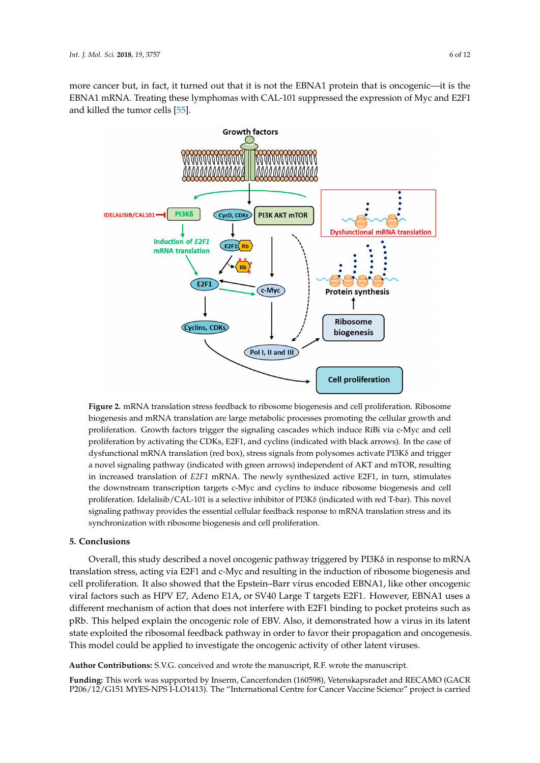more cancer but, in fact, it turned out that it is not the EBNA1 protein that is oncogenic—it is the EBNA1 mRNA. Treating these lymphomas with CAL-101 suppressed the expression of Myc and E2F1 and killed the tumor cells [\[55\]](#page-8-5). [55].

<span id="page-5-0"></span>

**Figure 2.** mRNA translation stress feedback to ribosome biogenesis and cell proliferation. Ribosome **Figure 2.** mRNA translation stress feedback to ribosome biogenesis and cell proliferation. Ribosome biogenesis and mRNA translation are large metabolic processes promoting the cellular growth and biogenesis and mRNA translation are large metabolic processes promoting the cellular growth and proliferation. Growth factors trigger the signaling cascades which induce RiBi via c-Myc and cell proliferation. Growth factors trigger the signaling cascades which induce RiBi via c-Myc and cell proliferation by activating the CDKs, E2F1, and cyclins (indicated with black arrows). In the case of proliferation by activating the CDKs, E2F1, and cyclins (indicated with black arrows). In the case of dysfunctional mRNA translation (red box), stress signals from polysomes activate PI3Kδ and trigger dysfunctional mRNA translation (red box), stress signals from polysomes activate PI3Kδ and trigger<br>a novel signaling pathway (indicated with green arrows) independent of AKT and mTOR, resulting in increased translation of *E2F1* mRNA. The newly synthesized active E2F1, in turn, stimulates downstream transcription targets c-Myc and cyclins to induce ribosome biogenesis and cell the downstream transcription targets c-Myc and cyclins to induce ribosome biogenesis and cell proliferation. Idelalisib/CAL-101 is a selective inhibitor of PI3Kδ (indicated with red T-bar). This proliferation. Idelalisib/CAL-101 is a selective inhibitor of PI3Kδ (indicated with red T-bar). This novel signaling pathway provides the essential cellular feedback response to mRNA translation stress and its synchronization with ribosome biogenesis and cell proliferation.

### **5. Conclusions 5. Conclusions**

Overall, this study described a novel oncogenic pathway triggered by PI3Kδ in response to Overall, this study described a novel oncogenic pathway triggered by PI3Kδ in response to mRNA translation stress, acting via E2F1 and c-Myc and resulting in the induction of ribosome biogenesis and<br>The induction of ribosome biogenesis and cell proliferation. It also showed that the Epstein–Barr virus encoded EBNA1, like other oncogenic<br>
cell proliferation. It also showed that the Epstein–Barr virus encoded EBNA1, like other oncogenic viral factors such as HPV E7, Adeno E1A, or SV40 Large T targets E2F1. However, EBNA1 uses a<br>viral factors different mechanism of action that does not interfere with E2F1 binding to pocket proteins such as pRb. This helped explain the oncogenic role of EBV. Also, it demonstrated how a virus in its latent state exploited the ribosomal feedback pathway in order to favor their propagation and oncogenesis.<br>The right of the contract of the contract of the contract of the contract of the contract of the contract of t This model could be applied to investigate the oncogenic activity of other latent viruses.

Author Contributions: S.V.G. conceived and wrote the manuscript, R.F. wrote the manuscript.

**P206/12/G151 MYES-NPS I-LO1413). The "International Centre for Cancer Vaccine Science" project is carried Funding:** This work was supported by Inserm, Cancerfonden (160598), Vetenskapsradet and RECAMO (GACR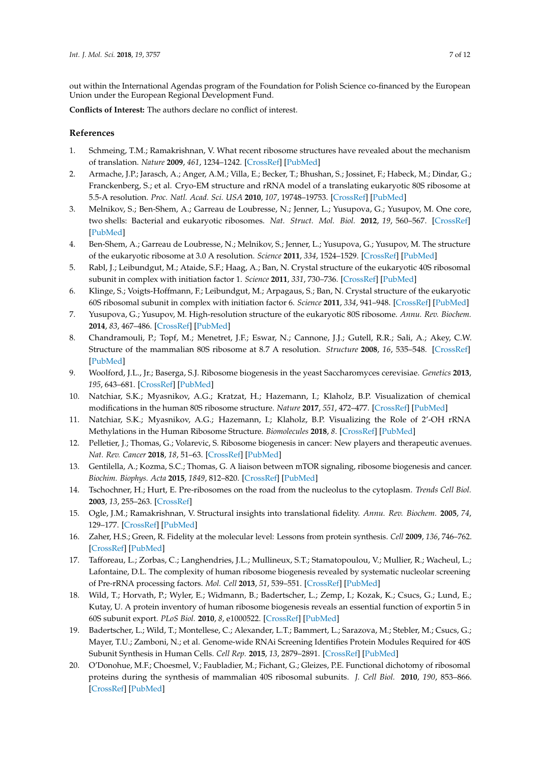out within the International Agendas program of the Foundation for Polish Science co-financed by the European Union under the European Regional Development Fund.

**Conflicts of Interest:** The authors declare no conflict of interest.

### **References**

- <span id="page-6-0"></span>1. Schmeing, T.M.; Ramakrishnan, V. What recent ribosome structures have revealed about the mechanism of translation. *Nature* **2009**, *461*, 1234–1242. [\[CrossRef\]](http://dx.doi.org/10.1038/nature08403) [\[PubMed\]](http://www.ncbi.nlm.nih.gov/pubmed/19838167)
- <span id="page-6-1"></span>2. Armache, J.P.; Jarasch, A.; Anger, A.M.; Villa, E.; Becker, T.; Bhushan, S.; Jossinet, F.; Habeck, M.; Dindar, G.; Franckenberg, S.; et al. Cryo-EM structure and rRNA model of a translating eukaryotic 80S ribosome at 5.5-A resolution. *Proc. Natl. Acad. Sci. USA* **2010**, *107*, 19748–19753. [\[CrossRef\]](http://dx.doi.org/10.1073/pnas.1009999107) [\[PubMed\]](http://www.ncbi.nlm.nih.gov/pubmed/20980660)
- <span id="page-6-3"></span>3. Melnikov, S.; Ben-Shem, A.; Garreau de Loubresse, N.; Jenner, L.; Yusupova, G.; Yusupov, M. One core, two shells: Bacterial and eukaryotic ribosomes. *Nat. Struct. Mol. Biol.* **2012**, *19*, 560–567. [\[CrossRef\]](http://dx.doi.org/10.1038/nsmb.2313) [\[PubMed\]](http://www.ncbi.nlm.nih.gov/pubmed/22664983)
- 4. Ben-Shem, A.; Garreau de Loubresse, N.; Melnikov, S.; Jenner, L.; Yusupova, G.; Yusupov, M. The structure of the eukaryotic ribosome at 3.0 A resolution. *Science* **2011**, *334*, 1524–1529. [\[CrossRef\]](http://dx.doi.org/10.1126/science.1212642) [\[PubMed\]](http://www.ncbi.nlm.nih.gov/pubmed/22096102)
- 5. Rabl, J.; Leibundgut, M.; Ataide, S.F.; Haag, A.; Ban, N. Crystal structure of the eukaryotic 40S ribosomal subunit in complex with initiation factor 1. *Science* **2011**, *331*, 730–736. [\[CrossRef\]](http://dx.doi.org/10.1126/science.1198308) [\[PubMed\]](http://www.ncbi.nlm.nih.gov/pubmed/21205638)
- 6. Klinge, S.; Voigts-Hoffmann, F.; Leibundgut, M.; Arpagaus, S.; Ban, N. Crystal structure of the eukaryotic 60S ribosomal subunit in complex with initiation factor 6. *Science* **2011**, *334*, 941–948. [\[CrossRef\]](http://dx.doi.org/10.1126/science.1211204) [\[PubMed\]](http://www.ncbi.nlm.nih.gov/pubmed/22052974)
- 7. Yusupova, G.; Yusupov, M. High-resolution structure of the eukaryotic 80S ribosome. *Annu. Rev. Biochem.* **2014**, *83*, 467–486. [\[CrossRef\]](http://dx.doi.org/10.1146/annurev-biochem-060713-035445) [\[PubMed\]](http://www.ncbi.nlm.nih.gov/pubmed/24580643)
- 8. Chandramouli, P.; Topf, M.; Menetret, J.F.; Eswar, N.; Cannone, J.J.; Gutell, R.R.; Sali, A.; Akey, C.W. Structure of the mammalian 80S ribosome at 8.7 A resolution. *Structure* **2008**, *16*, 535–548. [\[CrossRef\]](http://dx.doi.org/10.1016/j.str.2008.01.007) [\[PubMed\]](http://www.ncbi.nlm.nih.gov/pubmed/18400176)
- <span id="page-6-9"></span>9. Woolford, J.L., Jr.; Baserga, S.J. Ribosome biogenesis in the yeast Saccharomyces cerevisiae. *Genetics* **2013**, *195*, 643–681. [\[CrossRef\]](http://dx.doi.org/10.1534/genetics.113.153197) [\[PubMed\]](http://www.ncbi.nlm.nih.gov/pubmed/24190922)
- 10. Natchiar, S.K.; Myasnikov, A.G.; Kratzat, H.; Hazemann, I.; Klaholz, B.P. Visualization of chemical modifications in the human 80S ribosome structure. *Nature* **2017**, *551*, 472–477. [\[CrossRef\]](http://dx.doi.org/10.1038/nature24482) [\[PubMed\]](http://www.ncbi.nlm.nih.gov/pubmed/29143818)
- <span id="page-6-2"></span>11. Natchiar, S.K.; Myasnikov, A.G.; Hazemann, I.; Klaholz, B.P. Visualizing the Role of 2'-OH rRNA Methylations in the Human Ribosome Structure. *Biomolecules* **2018**, *8*. [\[CrossRef\]](http://dx.doi.org/10.3390/biom8040125) [\[PubMed\]](http://www.ncbi.nlm.nih.gov/pubmed/30366442)
- <span id="page-6-4"></span>12. Pelletier, J.; Thomas, G.; Volarevic, S. Ribosome biogenesis in cancer: New players and therapeutic avenues. *Nat. Rev. Cancer* **2018**, *18*, 51–63. [\[CrossRef\]](http://dx.doi.org/10.1038/nrc.2017.104) [\[PubMed\]](http://www.ncbi.nlm.nih.gov/pubmed/29192214)
- <span id="page-6-10"></span>13. Gentilella, A.; Kozma, S.C.; Thomas, G. A liaison between mTOR signaling, ribosome biogenesis and cancer. *Biochim. Biophys. Acta* **2015**, *1849*, 812–820. [\[CrossRef\]](http://dx.doi.org/10.1016/j.bbagrm.2015.02.005) [\[PubMed\]](http://www.ncbi.nlm.nih.gov/pubmed/25735853)
- <span id="page-6-5"></span>14. Tschochner, H.; Hurt, E. Pre-ribosomes on the road from the nucleolus to the cytoplasm. *Trends Cell Biol.* **2003**, *13*, 255–263. [\[CrossRef\]](http://dx.doi.org/10.1016/S0962-8924(03)00054-0)
- <span id="page-6-6"></span>15. Ogle, J.M.; Ramakrishnan, V. Structural insights into translational fidelity. *Annu. Rev. Biochem.* **2005**, *74*, 129–177. [\[CrossRef\]](http://dx.doi.org/10.1146/annurev.biochem.74.061903.155440) [\[PubMed\]](http://www.ncbi.nlm.nih.gov/pubmed/15952884)
- <span id="page-6-7"></span>16. Zaher, H.S.; Green, R. Fidelity at the molecular level: Lessons from protein synthesis. *Cell* **2009**, *136*, 746–762. [\[CrossRef\]](http://dx.doi.org/10.1016/j.cell.2009.01.036) [\[PubMed\]](http://www.ncbi.nlm.nih.gov/pubmed/19239893)
- <span id="page-6-8"></span>17. Tafforeau, L.; Zorbas, C.; Langhendries, J.L.; Mullineux, S.T.; Stamatopoulou, V.; Mullier, R.; Wacheul, L.; Lafontaine, D.L. The complexity of human ribosome biogenesis revealed by systematic nucleolar screening of Pre-rRNA processing factors. *Mol. Cell* **2013**, *51*, 539–551. [\[CrossRef\]](http://dx.doi.org/10.1016/j.molcel.2013.08.011) [\[PubMed\]](http://www.ncbi.nlm.nih.gov/pubmed/23973377)
- 18. Wild, T.; Horvath, P.; Wyler, E.; Widmann, B.; Badertscher, L.; Zemp, I.; Kozak, K.; Csucs, G.; Lund, E.; Kutay, U. A protein inventory of human ribosome biogenesis reveals an essential function of exportin 5 in 60S subunit export. *PLoS Biol.* **2010**, *8*, e1000522. [\[CrossRef\]](http://dx.doi.org/10.1371/journal.pbio.1000522) [\[PubMed\]](http://www.ncbi.nlm.nih.gov/pubmed/21048991)
- 19. Badertscher, L.; Wild, T.; Montellese, C.; Alexander, L.T.; Bammert, L.; Sarazova, M.; Stebler, M.; Csucs, G.; Mayer, T.U.; Zamboni, N.; et al. Genome-wide RNAi Screening Identifies Protein Modules Required for 40S Subunit Synthesis in Human Cells. *Cell Rep.* **2015**, *13*, 2879–2891. [\[CrossRef\]](http://dx.doi.org/10.1016/j.celrep.2015.11.061) [\[PubMed\]](http://www.ncbi.nlm.nih.gov/pubmed/26711351)
- 20. O'Donohue, M.F.; Choesmel, V.; Faubladier, M.; Fichant, G.; Gleizes, P.E. Functional dichotomy of ribosomal proteins during the synthesis of mammalian 40S ribosomal subunits. *J. Cell Biol.* **2010**, *190*, 853–866. [\[CrossRef\]](http://dx.doi.org/10.1083/jcb.201005117) [\[PubMed\]](http://www.ncbi.nlm.nih.gov/pubmed/20819938)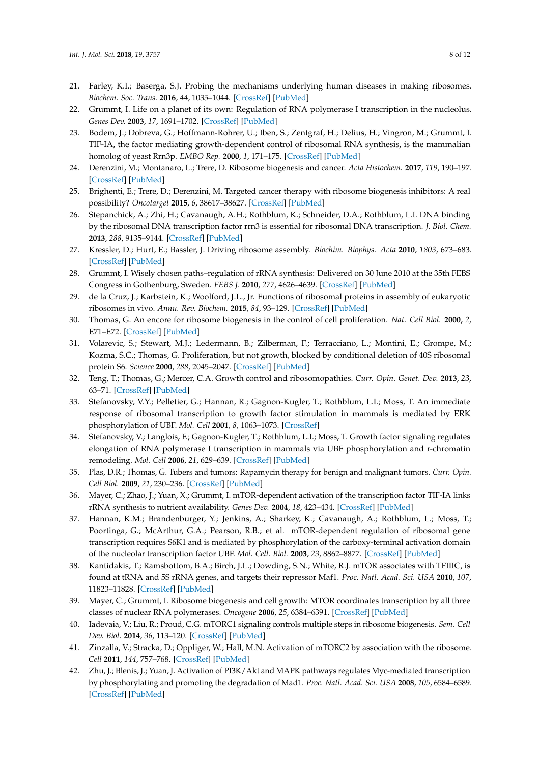- <span id="page-7-0"></span>21. Farley, K.I.; Baserga, S.J. Probing the mechanisms underlying human diseases in making ribosomes. *Biochem. Soc. Trans.* **2016**, *44*, 1035–1044. [\[CrossRef\]](http://dx.doi.org/10.1042/BST20160064) [\[PubMed\]](http://www.ncbi.nlm.nih.gov/pubmed/27528749)
- <span id="page-7-1"></span>22. Grummt, I. Life on a planet of its own: Regulation of RNA polymerase I transcription in the nucleolus. *Genes Dev.* **2003**, *17*, 1691–1702. [\[CrossRef\]](http://dx.doi.org/10.1101/gad.1098503R) [\[PubMed\]](http://www.ncbi.nlm.nih.gov/pubmed/12865296)
- 23. Bodem, J.; Dobreva, G.; Hoffmann-Rohrer, U.; Iben, S.; Zentgraf, H.; Delius, H.; Vingron, M.; Grummt, I. TIF-IA, the factor mediating growth-dependent control of ribosomal RNA synthesis, is the mammalian homolog of yeast Rrn3p. *EMBO Rep.* **2000**, *1*, 171–175. [\[CrossRef\]](http://dx.doi.org/10.1093/embo-reports/kvd032) [\[PubMed\]](http://www.ncbi.nlm.nih.gov/pubmed/11265758)
- <span id="page-7-6"></span>24. Derenzini, M.; Montanaro, L.; Trere, D. Ribosome biogenesis and cancer. *Acta Histochem.* **2017**, *119*, 190–197. [\[CrossRef\]](http://dx.doi.org/10.1016/j.acthis.2017.01.009) [\[PubMed\]](http://www.ncbi.nlm.nih.gov/pubmed/28168996)
- <span id="page-7-17"></span>25. Brighenti, E.; Trere, D.; Derenzini, M. Targeted cancer therapy with ribosome biogenesis inhibitors: A real possibility? *Oncotarget* **2015**, *6*, 38617–38627. [\[CrossRef\]](http://dx.doi.org/10.18632/oncotarget.5775) [\[PubMed\]](http://www.ncbi.nlm.nih.gov/pubmed/26415219)
- <span id="page-7-2"></span>26. Stepanchick, A.; Zhi, H.; Cavanaugh, A.H.; Rothblum, K.; Schneider, D.A.; Rothblum, L.I. DNA binding by the ribosomal DNA transcription factor rrn3 is essential for ribosomal DNA transcription. *J. Biol. Chem.* **2013**, *288*, 9135–9144. [\[CrossRef\]](http://dx.doi.org/10.1074/jbc.M112.444265) [\[PubMed\]](http://www.ncbi.nlm.nih.gov/pubmed/23393135)
- <span id="page-7-3"></span>27. Kressler, D.; Hurt, E.; Bassler, J. Driving ribosome assembly. *Biochim. Biophys. Acta* **2010**, *1803*, 673–683. [\[CrossRef\]](http://dx.doi.org/10.1016/j.bbamcr.2009.10.009) [\[PubMed\]](http://www.ncbi.nlm.nih.gov/pubmed/19879902)
- <span id="page-7-4"></span>28. Grummt, I. Wisely chosen paths–regulation of rRNA synthesis: Delivered on 30 June 2010 at the 35th FEBS Congress in Gothenburg, Sweden. *FEBS J.* **2010**, *277*, 4626–4639. [\[CrossRef\]](http://dx.doi.org/10.1111/j.1742-4658.2010.07892.x) [\[PubMed\]](http://www.ncbi.nlm.nih.gov/pubmed/20977666)
- <span id="page-7-5"></span>29. de la Cruz, J.; Karbstein, K.; Woolford, J.L., Jr. Functions of ribosomal proteins in assembly of eukaryotic ribosomes in vivo. *Annu. Rev. Biochem.* **2015**, *84*, 93–129. [\[CrossRef\]](http://dx.doi.org/10.1146/annurev-biochem-060614-033917) [\[PubMed\]](http://www.ncbi.nlm.nih.gov/pubmed/25706898)
- <span id="page-7-7"></span>30. Thomas, G. An encore for ribosome biogenesis in the control of cell proliferation. *Nat. Cell Biol.* **2000**, *2*, E71–E72. [\[CrossRef\]](http://dx.doi.org/10.1038/35010581) [\[PubMed\]](http://www.ncbi.nlm.nih.gov/pubmed/10806485)
- 31. Volarevic, S.; Stewart, M.J.; Ledermann, B.; Zilberman, F.; Terracciano, L.; Montini, E.; Grompe, M.; Kozma, S.C.; Thomas, G. Proliferation, but not growth, blocked by conditional deletion of 40S ribosomal protein S6. *Science* **2000**, *288*, 2045–2047. [\[CrossRef\]](http://dx.doi.org/10.1126/science.288.5473.2045) [\[PubMed\]](http://www.ncbi.nlm.nih.gov/pubmed/10856218)
- <span id="page-7-8"></span>32. Teng, T.; Thomas, G.; Mercer, C.A. Growth control and ribosomopathies. *Curr. Opin. Genet. Dev.* **2013**, *23*, 63–71. [\[CrossRef\]](http://dx.doi.org/10.1016/j.gde.2013.02.001) [\[PubMed\]](http://www.ncbi.nlm.nih.gov/pubmed/23490481)
- <span id="page-7-9"></span>33. Stefanovsky, V.Y.; Pelletier, G.; Hannan, R.; Gagnon-Kugler, T.; Rothblum, L.I.; Moss, T. An immediate response of ribosomal transcription to growth factor stimulation in mammals is mediated by ERK phosphorylation of UBF. *Mol. Cell* **2001**, *8*, 1063–1073. [\[CrossRef\]](http://dx.doi.org/10.1016/S1097-2765(01)00384-7)
- <span id="page-7-10"></span>34. Stefanovsky, V.; Langlois, F.; Gagnon-Kugler, T.; Rothblum, L.I.; Moss, T. Growth factor signaling regulates elongation of RNA polymerase I transcription in mammals via UBF phosphorylation and r-chromatin remodeling. *Mol. Cell* **2006**, *21*, 629–639. [\[CrossRef\]](http://dx.doi.org/10.1016/j.molcel.2006.01.023) [\[PubMed\]](http://www.ncbi.nlm.nih.gov/pubmed/16507361)
- <span id="page-7-11"></span>35. Plas, D.R.; Thomas, G. Tubers and tumors: Rapamycin therapy for benign and malignant tumors. *Curr. Opin. Cell Biol.* **2009**, *21*, 230–236. [\[CrossRef\]](http://dx.doi.org/10.1016/j.ceb.2008.12.013) [\[PubMed\]](http://www.ncbi.nlm.nih.gov/pubmed/19237273)
- 36. Mayer, C.; Zhao, J.; Yuan, X.; Grummt, I. mTOR-dependent activation of the transcription factor TIF-IA links rRNA synthesis to nutrient availability. *Genes Dev.* **2004**, *18*, 423–434. [\[CrossRef\]](http://dx.doi.org/10.1101/gad.285504) [\[PubMed\]](http://www.ncbi.nlm.nih.gov/pubmed/15004009)
- <span id="page-7-12"></span>37. Hannan, K.M.; Brandenburger, Y.; Jenkins, A.; Sharkey, K.; Cavanaugh, A.; Rothblum, L.; Moss, T.; Poortinga, G.; McArthur, G.A.; Pearson, R.B.; et al. mTOR-dependent regulation of ribosomal gene transcription requires S6K1 and is mediated by phosphorylation of the carboxy-terminal activation domain of the nucleolar transcription factor UBF. *Mol. Cell. Biol.* **2003**, *23*, 8862–8877. [\[CrossRef\]](http://dx.doi.org/10.1128/MCB.23.23.8862-8877.2003) [\[PubMed\]](http://www.ncbi.nlm.nih.gov/pubmed/14612424)
- <span id="page-7-13"></span>38. Kantidakis, T.; Ramsbottom, B.A.; Birch, J.L.; Dowding, S.N.; White, R.J. mTOR associates with TFIIIC, is found at tRNA and 5S rRNA genes, and targets their repressor Maf1. *Proc. Natl. Acad. Sci. USA* **2010**, *107*, 11823–11828. [\[CrossRef\]](http://dx.doi.org/10.1073/pnas.1005188107) [\[PubMed\]](http://www.ncbi.nlm.nih.gov/pubmed/20543138)
- 39. Mayer, C.; Grummt, I. Ribosome biogenesis and cell growth: MTOR coordinates transcription by all three classes of nuclear RNA polymerases. *Oncogene* **2006**, *25*, 6384–6391. [\[CrossRef\]](http://dx.doi.org/10.1038/sj.onc.1209883) [\[PubMed\]](http://www.ncbi.nlm.nih.gov/pubmed/17041624)
- <span id="page-7-14"></span>40. Iadevaia, V.; Liu, R.; Proud, C.G. mTORC1 signaling controls multiple steps in ribosome biogenesis. *Sem. Cell Dev. Biol.* **2014**, *36*, 113–120. [\[CrossRef\]](http://dx.doi.org/10.1016/j.semcdb.2014.08.004) [\[PubMed\]](http://www.ncbi.nlm.nih.gov/pubmed/25148809)
- <span id="page-7-15"></span>41. Zinzalla, V.; Stracka, D.; Oppliger, W.; Hall, M.N. Activation of mTORC2 by association with the ribosome. *Cell* **2011**, *144*, 757–768. [\[CrossRef\]](http://dx.doi.org/10.1016/j.cell.2011.02.014) [\[PubMed\]](http://www.ncbi.nlm.nih.gov/pubmed/21376236)
- <span id="page-7-16"></span>42. Zhu, J.; Blenis, J.; Yuan, J. Activation of PI3K/Akt and MAPK pathways regulates Myc-mediated transcription by phosphorylating and promoting the degradation of Mad1. *Proc. Natl. Acad. Sci. USA* **2008**, *105*, 6584–6589. [\[CrossRef\]](http://dx.doi.org/10.1073/pnas.0802785105) [\[PubMed\]](http://www.ncbi.nlm.nih.gov/pubmed/18451027)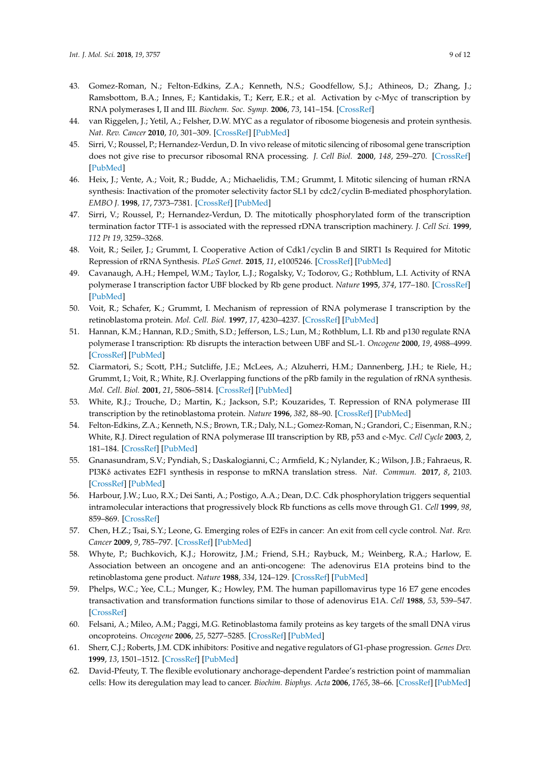- 43. Gomez-Roman, N.; Felton-Edkins, Z.A.; Kenneth, N.S.; Goodfellow, S.J.; Athineos, D.; Zhang, J.; Ramsbottom, B.A.; Innes, F.; Kantidakis, T.; Kerr, E.R.; et al. Activation by c-Myc of transcription by RNA polymerases I, II and III. *Biochem. Soc. Symp.* **2006**, *73*, 141–154. [\[CrossRef\]](http://dx.doi.org/10.1042/bss0730141)
- <span id="page-8-0"></span>44. van Riggelen, J.; Yetil, A.; Felsher, D.W. MYC as a regulator of ribosome biogenesis and protein synthesis. *Nat. Rev. Cancer* **2010**, *10*, 301–309. [\[CrossRef\]](http://dx.doi.org/10.1038/nrc2819) [\[PubMed\]](http://www.ncbi.nlm.nih.gov/pubmed/20332779)
- <span id="page-8-1"></span>45. Sirri, V.; Roussel, P.; Hernandez-Verdun, D. In vivo release of mitotic silencing of ribosomal gene transcription does not give rise to precursor ribosomal RNA processing. *J. Cell Biol.* **2000**, *148*, 259–270. [\[CrossRef\]](http://dx.doi.org/10.1083/jcb.148.2.259) [\[PubMed\]](http://www.ncbi.nlm.nih.gov/pubmed/10648559)
- 46. Heix, J.; Vente, A.; Voit, R.; Budde, A.; Michaelidis, T.M.; Grummt, I. Mitotic silencing of human rRNA synthesis: Inactivation of the promoter selectivity factor SL1 by cdc2/cyclin B-mediated phosphorylation. *EMBO J.* **1998**, *17*, 7373–7381. [\[CrossRef\]](http://dx.doi.org/10.1093/emboj/17.24.7373) [\[PubMed\]](http://www.ncbi.nlm.nih.gov/pubmed/9857193)
- 47. Sirri, V.; Roussel, P.; Hernandez-Verdun, D. The mitotically phosphorylated form of the transcription termination factor TTF-1 is associated with the repressed rDNA transcription machinery. *J. Cell Sci.* **1999**, *112 Pt 19*, 3259–3268.
- <span id="page-8-2"></span>48. Voit, R.; Seiler, J.; Grummt, I. Cooperative Action of Cdk1/cyclin B and SIRT1 Is Required for Mitotic Repression of rRNA Synthesis. *PLoS Genet.* **2015**, *11*, e1005246. [\[CrossRef\]](http://dx.doi.org/10.1371/journal.pgen.1005246) [\[PubMed\]](http://www.ncbi.nlm.nih.gov/pubmed/26023773)
- <span id="page-8-3"></span>49. Cavanaugh, A.H.; Hempel, W.M.; Taylor, L.J.; Rogalsky, V.; Todorov, G.; Rothblum, L.I. Activity of RNA polymerase I transcription factor UBF blocked by Rb gene product. *Nature* **1995**, *374*, 177–180. [\[CrossRef\]](http://dx.doi.org/10.1038/374177a0) [\[PubMed\]](http://www.ncbi.nlm.nih.gov/pubmed/7877691)
- 50. Voit, R.; Schafer, K.; Grummt, I. Mechanism of repression of RNA polymerase I transcription by the retinoblastoma protein. *Mol. Cell. Biol.* **1997**, *17*, 4230–4237. [\[CrossRef\]](http://dx.doi.org/10.1128/MCB.17.8.4230) [\[PubMed\]](http://www.ncbi.nlm.nih.gov/pubmed/9234680)
- 51. Hannan, K.M.; Hannan, R.D.; Smith, S.D.; Jefferson, L.S.; Lun, M.; Rothblum, L.I. Rb and p130 regulate RNA polymerase I transcription: Rb disrupts the interaction between UBF and SL-1. *Oncogene* **2000**, *19*, 4988–4999. [\[CrossRef\]](http://dx.doi.org/10.1038/sj.onc.1203875) [\[PubMed\]](http://www.ncbi.nlm.nih.gov/pubmed/11042686)
- 52. Ciarmatori, S.; Scott, P.H.; Sutcliffe, J.E.; McLees, A.; Alzuherri, H.M.; Dannenberg, J.H.; te Riele, H.; Grummt, I.; Voit, R.; White, R.J. Overlapping functions of the pRb family in the regulation of rRNA synthesis. *Mol. Cell. Biol.* **2001**, *21*, 5806–5814. [\[CrossRef\]](http://dx.doi.org/10.1128/MCB.21.17.5806-5814.2001) [\[PubMed\]](http://www.ncbi.nlm.nih.gov/pubmed/11486020)
- 53. White, R.J.; Trouche, D.; Martin, K.; Jackson, S.P.; Kouzarides, T. Repression of RNA polymerase III transcription by the retinoblastoma protein. *Nature* **1996**, *382*, 88–90. [\[CrossRef\]](http://dx.doi.org/10.1038/382088a0) [\[PubMed\]](http://www.ncbi.nlm.nih.gov/pubmed/8657311)
- <span id="page-8-4"></span>54. Felton-Edkins, Z.A.; Kenneth, N.S.; Brown, T.R.; Daly, N.L.; Gomez-Roman, N.; Grandori, C.; Eisenman, R.N.; White, R.J. Direct regulation of RNA polymerase III transcription by RB, p53 and c-Myc. *Cell Cycle* **2003**, *2*, 181–184. [\[CrossRef\]](http://dx.doi.org/10.4161/cc.2.3.375) [\[PubMed\]](http://www.ncbi.nlm.nih.gov/pubmed/12734418)
- <span id="page-8-5"></span>55. Gnanasundram, S.V.; Pyndiah, S.; Daskalogianni, C.; Armfield, K.; Nylander, K.; Wilson, J.B.; Fahraeus, R. PI3Kδ activates E2F1 synthesis in response to mRNA translation stress. *Nat. Commun.* **2017**, *8*, 2103. [\[CrossRef\]](http://dx.doi.org/10.1038/s41467-017-02282-w) [\[PubMed\]](http://www.ncbi.nlm.nih.gov/pubmed/29235459)
- 56. Harbour, J.W.; Luo, R.X.; Dei Santi, A.; Postigo, A.A.; Dean, D.C. Cdk phosphorylation triggers sequential intramolecular interactions that progressively block Rb functions as cells move through G1. *Cell* **1999**, *98*, 859–869. [\[CrossRef\]](http://dx.doi.org/10.1016/S0092-8674(00)81519-6)
- <span id="page-8-6"></span>57. Chen, H.Z.; Tsai, S.Y.; Leone, G. Emerging roles of E2Fs in cancer: An exit from cell cycle control. *Nat. Rev. Cancer* **2009**, *9*, 785–797. [\[CrossRef\]](http://dx.doi.org/10.1038/nrc2696) [\[PubMed\]](http://www.ncbi.nlm.nih.gov/pubmed/19851314)
- <span id="page-8-7"></span>58. Whyte, P.; Buchkovich, K.J.; Horowitz, J.M.; Friend, S.H.; Raybuck, M.; Weinberg, R.A.; Harlow, E. Association between an oncogene and an anti-oncogene: The adenovirus E1A proteins bind to the retinoblastoma gene product. *Nature* **1988**, *334*, 124–129. [\[CrossRef\]](http://dx.doi.org/10.1038/334124a0) [\[PubMed\]](http://www.ncbi.nlm.nih.gov/pubmed/2968522)
- 59. Phelps, W.C.; Yee, C.L.; Munger, K.; Howley, P.M. The human papillomavirus type 16 E7 gene encodes transactivation and transformation functions similar to those of adenovirus E1A. *Cell* **1988**, *53*, 539–547. [\[CrossRef\]](http://dx.doi.org/10.1016/0092-8674(88)90570-3)
- <span id="page-8-8"></span>60. Felsani, A.; Mileo, A.M.; Paggi, M.G. Retinoblastoma family proteins as key targets of the small DNA virus oncoproteins. *Oncogene* **2006**, *25*, 5277–5285. [\[CrossRef\]](http://dx.doi.org/10.1038/sj.onc.1209621) [\[PubMed\]](http://www.ncbi.nlm.nih.gov/pubmed/16936748)
- <span id="page-8-9"></span>61. Sherr, C.J.; Roberts, J.M. CDK inhibitors: Positive and negative regulators of G1-phase progression. *Genes Dev.* **1999**, *13*, 1501–1512. [\[CrossRef\]](http://dx.doi.org/10.1101/gad.13.12.1501) [\[PubMed\]](http://www.ncbi.nlm.nih.gov/pubmed/10385618)
- <span id="page-8-10"></span>62. David-Pfeuty, T. The flexible evolutionary anchorage-dependent Pardee's restriction point of mammalian cells: How its deregulation may lead to cancer. *Biochim. Biophys. Acta* **2006**, *1765*, 38–66. [\[CrossRef\]](http://dx.doi.org/10.1016/j.bbcan.2005.08.008) [\[PubMed\]](http://www.ncbi.nlm.nih.gov/pubmed/16219425)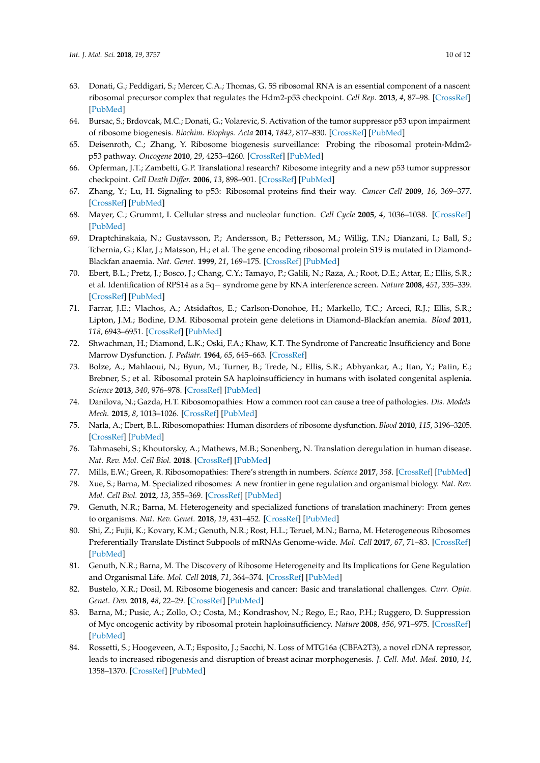- <span id="page-9-0"></span>63. Donati, G.; Peddigari, S.; Mercer, C.A.; Thomas, G. 5S ribosomal RNA is an essential component of a nascent ribosomal precursor complex that regulates the Hdm2-p53 checkpoint. *Cell Rep.* **2013**, *4*, 87–98. [\[CrossRef\]](http://dx.doi.org/10.1016/j.celrep.2013.05.045) [\[PubMed\]](http://www.ncbi.nlm.nih.gov/pubmed/23831031)
- 64. Bursac, S.; Brdovcak, M.C.; Donati, G.; Volarevic, S. Activation of the tumor suppressor p53 upon impairment of ribosome biogenesis. *Biochim. Biophys. Acta* **2014**, *1842*, 817–830. [\[CrossRef\]](http://dx.doi.org/10.1016/j.bbadis.2013.08.014) [\[PubMed\]](http://www.ncbi.nlm.nih.gov/pubmed/24514102)
- 65. Deisenroth, C.; Zhang, Y. Ribosome biogenesis surveillance: Probing the ribosomal protein-Mdm2 p53 pathway. *Oncogene* **2010**, *29*, 4253–4260. [\[CrossRef\]](http://dx.doi.org/10.1038/onc.2010.189) [\[PubMed\]](http://www.ncbi.nlm.nih.gov/pubmed/20498634)
- 66. Opferman, J.T.; Zambetti, G.P. Translational research? Ribosome integrity and a new p53 tumor suppressor checkpoint. *Cell Death Differ.* **2006**, *13*, 898–901. [\[CrossRef\]](http://dx.doi.org/10.1038/sj.cdd.4401923) [\[PubMed\]](http://www.ncbi.nlm.nih.gov/pubmed/16557265)
- 67. Zhang, Y.; Lu, H. Signaling to p53: Ribosomal proteins find their way. *Cancer Cell* **2009**, *16*, 369–377. [\[CrossRef\]](http://dx.doi.org/10.1016/j.ccr.2009.09.024) [\[PubMed\]](http://www.ncbi.nlm.nih.gov/pubmed/19878869)
- <span id="page-9-1"></span>68. Mayer, C.; Grummt, I. Cellular stress and nucleolar function. *Cell Cycle* **2005**, *4*, 1036–1038. [\[CrossRef\]](http://dx.doi.org/10.4161/cc.4.8.1925) [\[PubMed\]](http://www.ncbi.nlm.nih.gov/pubmed/16205120)
- <span id="page-9-2"></span>69. Draptchinskaia, N.; Gustavsson, P.; Andersson, B.; Pettersson, M.; Willig, T.N.; Dianzani, I.; Ball, S.; Tchernia, G.; Klar, J.; Matsson, H.; et al. The gene encoding ribosomal protein S19 is mutated in Diamond-Blackfan anaemia. *Nat. Genet.* **1999**, *21*, 169–175. [\[CrossRef\]](http://dx.doi.org/10.1038/5951) [\[PubMed\]](http://www.ncbi.nlm.nih.gov/pubmed/9988267)
- 70. Ebert, B.L.; Pretz, J.; Bosco, J.; Chang, C.Y.; Tamayo, P.; Galili, N.; Raza, A.; Root, D.E.; Attar, E.; Ellis, S.R.; et al. Identification of RPS14 as a 5q− syndrome gene by RNA interference screen. *Nature* **2008**, *451*, 335–339. [\[CrossRef\]](http://dx.doi.org/10.1038/nature06494) [\[PubMed\]](http://www.ncbi.nlm.nih.gov/pubmed/18202658)
- 71. Farrar, J.E.; Vlachos, A.; Atsidaftos, E.; Carlson-Donohoe, H.; Markello, T.C.; Arceci, R.J.; Ellis, S.R.; Lipton, J.M.; Bodine, D.M. Ribosomal protein gene deletions in Diamond-Blackfan anemia. *Blood* **2011**, *118*, 6943–6951. [\[CrossRef\]](http://dx.doi.org/10.1182/blood-2011-08-375170) [\[PubMed\]](http://www.ncbi.nlm.nih.gov/pubmed/22045982)
- <span id="page-9-3"></span>72. Shwachman, H.; Diamond, L.K.; Oski, F.A.; Khaw, K.T. The Syndrome of Pancreatic Insufficiency and Bone Marrow Dysfunction. *J. Pediatr.* **1964**, *65*, 645–663. [\[CrossRef\]](http://dx.doi.org/10.1016/S0022-3476(64)80150-5)
- <span id="page-9-4"></span>73. Bolze, A.; Mahlaoui, N.; Byun, M.; Turner, B.; Trede, N.; Ellis, S.R.; Abhyankar, A.; Itan, Y.; Patin, E.; Brebner, S.; et al. Ribosomal protein SA haploinsufficiency in humans with isolated congenital asplenia. *Science* **2013**, *340*, 976–978. [\[CrossRef\]](http://dx.doi.org/10.1126/science.1234864) [\[PubMed\]](http://www.ncbi.nlm.nih.gov/pubmed/23579497)
- <span id="page-9-5"></span>74. Danilova, N.; Gazda, H.T. Ribosomopathies: How a common root can cause a tree of pathologies. *Dis. Models Mech.* **2015**, *8*, 1013–1026. [\[CrossRef\]](http://dx.doi.org/10.1242/dmm.020529) [\[PubMed\]](http://www.ncbi.nlm.nih.gov/pubmed/26398160)
- <span id="page-9-6"></span>75. Narla, A.; Ebert, B.L. Ribosomopathies: Human disorders of ribosome dysfunction. *Blood* **2010**, *115*, 3196–3205. [\[CrossRef\]](http://dx.doi.org/10.1182/blood-2009-10-178129) [\[PubMed\]](http://www.ncbi.nlm.nih.gov/pubmed/20194897)
- <span id="page-9-7"></span>76. Tahmasebi, S.; Khoutorsky, A.; Mathews, M.B.; Sonenberg, N. Translation deregulation in human disease. *Nat. Rev. Mol. Cell Biol.* **2018**. [\[CrossRef\]](http://dx.doi.org/10.1038/s41580-018-0034-x) [\[PubMed\]](http://www.ncbi.nlm.nih.gov/pubmed/30038383)
- <span id="page-9-8"></span>77. Mills, E.W.; Green, R. Ribosomopathies: There's strength in numbers. *Science* **2017**, *358*. [\[CrossRef\]](http://dx.doi.org/10.1126/science.aan2755) [\[PubMed\]](http://www.ncbi.nlm.nih.gov/pubmed/29097519)
- <span id="page-9-9"></span>78. Xue, S.; Barna, M. Specialized ribosomes: A new frontier in gene regulation and organismal biology. *Nat. Rev. Mol. Cell Biol.* **2012**, *13*, 355–369. [\[CrossRef\]](http://dx.doi.org/10.1038/nrm3359) [\[PubMed\]](http://www.ncbi.nlm.nih.gov/pubmed/22617470)
- 79. Genuth, N.R.; Barna, M. Heterogeneity and specialized functions of translation machinery: From genes to organisms. *Nat. Rev. Genet.* **2018**, *19*, 431–452. [\[CrossRef\]](http://dx.doi.org/10.1038/s41576-018-0008-z) [\[PubMed\]](http://www.ncbi.nlm.nih.gov/pubmed/29725087)
- 80. Shi, Z.; Fujii, K.; Kovary, K.M.; Genuth, N.R.; Rost, H.L.; Teruel, M.N.; Barna, M. Heterogeneous Ribosomes Preferentially Translate Distinct Subpools of mRNAs Genome-wide. *Mol. Cell* **2017**, *67*, 71–83. [\[CrossRef\]](http://dx.doi.org/10.1016/j.molcel.2017.05.021) [\[PubMed\]](http://www.ncbi.nlm.nih.gov/pubmed/28625553)
- <span id="page-9-10"></span>81. Genuth, N.R.; Barna, M. The Discovery of Ribosome Heterogeneity and Its Implications for Gene Regulation and Organismal Life. *Mol. Cell* **2018**, *71*, 364–374. [\[CrossRef\]](http://dx.doi.org/10.1016/j.molcel.2018.07.018) [\[PubMed\]](http://www.ncbi.nlm.nih.gov/pubmed/30075139)
- <span id="page-9-11"></span>82. Bustelo, X.R.; Dosil, M. Ribosome biogenesis and cancer: Basic and translational challenges. *Curr. Opin. Genet. Dev.* **2018**, *48*, 22–29. [\[CrossRef\]](http://dx.doi.org/10.1016/j.gde.2017.10.003) [\[PubMed\]](http://www.ncbi.nlm.nih.gov/pubmed/29100209)
- <span id="page-9-12"></span>83. Barna, M.; Pusic, A.; Zollo, O.; Costa, M.; Kondrashov, N.; Rego, E.; Rao, P.H.; Ruggero, D. Suppression of Myc oncogenic activity by ribosomal protein haploinsufficiency. *Nature* **2008**, *456*, 971–975. [\[CrossRef\]](http://dx.doi.org/10.1038/nature07449) [\[PubMed\]](http://www.ncbi.nlm.nih.gov/pubmed/19011615)
- <span id="page-9-13"></span>84. Rossetti, S.; Hoogeveen, A.T.; Esposito, J.; Sacchi, N. Loss of MTG16a (CBFA2T3), a novel rDNA repressor, leads to increased ribogenesis and disruption of breast acinar morphogenesis. *J. Cell. Mol. Med.* **2010**, *14*, 1358–1370. [\[CrossRef\]](http://dx.doi.org/10.1111/j.1582-4934.2009.00982.x) [\[PubMed\]](http://www.ncbi.nlm.nih.gov/pubmed/19961547)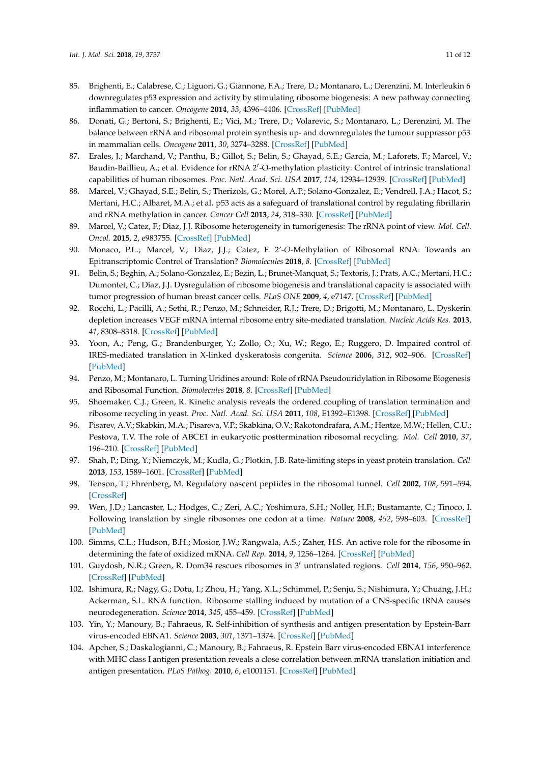- 85. Brighenti, E.; Calabrese, C.; Liguori, G.; Giannone, F.A.; Trere, D.; Montanaro, L.; Derenzini, M. Interleukin 6 downregulates p53 expression and activity by stimulating ribosome biogenesis: A new pathway connecting inflammation to cancer. *Oncogene* **2014**, *33*, 4396–4406. [\[CrossRef\]](http://dx.doi.org/10.1038/onc.2014.1) [\[PubMed\]](http://www.ncbi.nlm.nih.gov/pubmed/24531714)
- <span id="page-10-0"></span>86. Donati, G.; Bertoni, S.; Brighenti, E.; Vici, M.; Trere, D.; Volarevic, S.; Montanaro, L.; Derenzini, M. The balance between rRNA and ribosomal protein synthesis up- and downregulates the tumour suppressor p53 in mammalian cells. *Oncogene* **2011**, *30*, 3274–3288. [\[CrossRef\]](http://dx.doi.org/10.1038/onc.2011.48) [\[PubMed\]](http://www.ncbi.nlm.nih.gov/pubmed/21399665)
- <span id="page-10-1"></span>87. Erales, J.; Marchand, V.; Panthu, B.; Gillot, S.; Belin, S.; Ghayad, S.E.; Garcia, M.; Laforets, F.; Marcel, V.; Baudin-Baillieu, A.; et al. Evidence for rRNA 2'-O-methylation plasticity: Control of intrinsic translational capabilities of human ribosomes. *Proc. Natl. Acad. Sci. USA* **2017**, *114*, 12934–12939. [\[CrossRef\]](http://dx.doi.org/10.1073/pnas.1707674114) [\[PubMed\]](http://www.ncbi.nlm.nih.gov/pubmed/29158377)
- 88. Marcel, V.; Ghayad, S.E.; Belin, S.; Therizols, G.; Morel, A.P.; Solano-Gonzalez, E.; Vendrell, J.A.; Hacot, S.; Mertani, H.C.; Albaret, M.A.; et al. p53 acts as a safeguard of translational control by regulating fibrillarin and rRNA methylation in cancer. *Cancer Cell* **2013**, *24*, 318–330. [\[CrossRef\]](http://dx.doi.org/10.1016/j.ccr.2013.08.013) [\[PubMed\]](http://www.ncbi.nlm.nih.gov/pubmed/24029231)
- 89. Marcel, V.; Catez, F.; Diaz, J.J. Ribosome heterogeneity in tumorigenesis: The rRNA point of view. *Mol. Cell. Oncol.* **2015**, *2*, e983755. [\[CrossRef\]](http://dx.doi.org/10.4161/23723556.2014.983755) [\[PubMed\]](http://www.ncbi.nlm.nih.gov/pubmed/27305893)
- 90. Monaco, P.L.; Marcel, V.; Diaz, J.J.; Catez, F. 2'-*O*-Methylation of Ribosomal RNA: Towards an Epitranscriptomic Control of Translation? *Biomolecules* **2018**, *8*. [\[CrossRef\]](http://dx.doi.org/10.3390/biom8040106) [\[PubMed\]](http://www.ncbi.nlm.nih.gov/pubmed/30282949)
- <span id="page-10-2"></span>91. Belin, S.; Beghin, A.; Solano-Gonzalez, E.; Bezin, L.; Brunet-Manquat, S.; Textoris, J.; Prats, A.C.; Mertani, H.C.; Dumontet, C.; Diaz, J.J. Dysregulation of ribosome biogenesis and translational capacity is associated with tumor progression of human breast cancer cells. *PLoS ONE* **2009**, *4*, e7147. [\[CrossRef\]](http://dx.doi.org/10.1371/journal.pone.0007147) [\[PubMed\]](http://www.ncbi.nlm.nih.gov/pubmed/19779612)
- <span id="page-10-3"></span>92. Rocchi, L.; Pacilli, A.; Sethi, R.; Penzo, M.; Schneider, R.J.; Trere, D.; Brigotti, M.; Montanaro, L. Dyskerin depletion increases VEGF mRNA internal ribosome entry site-mediated translation. *Nucleic Acids Res.* **2013**, *41*, 8308–8318. [\[CrossRef\]](http://dx.doi.org/10.1093/nar/gkt587) [\[PubMed\]](http://www.ncbi.nlm.nih.gov/pubmed/23821664)
- 93. Yoon, A.; Peng, G.; Brandenburger, Y.; Zollo, O.; Xu, W.; Rego, E.; Ruggero, D. Impaired control of IRES-mediated translation in X-linked dyskeratosis congenita. *Science* **2006**, *312*, 902–906. [\[CrossRef\]](http://dx.doi.org/10.1126/science.1123835) [\[PubMed\]](http://www.ncbi.nlm.nih.gov/pubmed/16690864)
- <span id="page-10-4"></span>94. Penzo, M.; Montanaro, L. Turning Uridines around: Role of rRNA Pseudouridylation in Ribosome Biogenesis and Ribosomal Function. *Biomolecules* **2018**, *8*. [\[CrossRef\]](http://dx.doi.org/10.3390/biom8020038) [\[PubMed\]](http://www.ncbi.nlm.nih.gov/pubmed/29874862)
- <span id="page-10-5"></span>95. Shoemaker, C.J.; Green, R. Kinetic analysis reveals the ordered coupling of translation termination and ribosome recycling in yeast. *Proc. Natl. Acad. Sci. USA* **2011**, *108*, E1392–E1398. [\[CrossRef\]](http://dx.doi.org/10.1073/pnas.1113956108) [\[PubMed\]](http://www.ncbi.nlm.nih.gov/pubmed/22143755)
- <span id="page-10-6"></span>96. Pisarev, A.V.; Skabkin, M.A.; Pisareva, V.P.; Skabkina, O.V.; Rakotondrafara, A.M.; Hentze, M.W.; Hellen, C.U.; Pestova, T.V. The role of ABCE1 in eukaryotic posttermination ribosomal recycling. *Mol. Cell* **2010**, *37*, 196–210. [\[CrossRef\]](http://dx.doi.org/10.1016/j.molcel.2009.12.034) [\[PubMed\]](http://www.ncbi.nlm.nih.gov/pubmed/20122402)
- <span id="page-10-7"></span>97. Shah, P.; Ding, Y.; Niemczyk, M.; Kudla, G.; Plotkin, J.B. Rate-limiting steps in yeast protein translation. *Cell* **2013**, *153*, 1589–1601. [\[CrossRef\]](http://dx.doi.org/10.1016/j.cell.2013.05.049) [\[PubMed\]](http://www.ncbi.nlm.nih.gov/pubmed/23791185)
- 98. Tenson, T.; Ehrenberg, M. Regulatory nascent peptides in the ribosomal tunnel. *Cell* **2002**, *108*, 591–594. [\[CrossRef\]](http://dx.doi.org/10.1016/S0092-8674(02)00669-4)
- 99. Wen, J.D.; Lancaster, L.; Hodges, C.; Zeri, A.C.; Yoshimura, S.H.; Noller, H.F.; Bustamante, C.; Tinoco, I. Following translation by single ribosomes one codon at a time. *Nature* **2008**, *452*, 598–603. [\[CrossRef\]](http://dx.doi.org/10.1038/nature06716) [\[PubMed\]](http://www.ncbi.nlm.nih.gov/pubmed/18327250)
- 100. Simms, C.L.; Hudson, B.H.; Mosior, J.W.; Rangwala, A.S.; Zaher, H.S. An active role for the ribosome in determining the fate of oxidized mRNA. *Cell Rep.* **2014**, *9*, 1256–1264. [\[CrossRef\]](http://dx.doi.org/10.1016/j.celrep.2014.10.042) [\[PubMed\]](http://www.ncbi.nlm.nih.gov/pubmed/25456128)
- 101. Guydosh, N.R.; Green, R. Dom34 rescues ribosomes in 3' untranslated regions. *Cell* 2014, 156, 950–962. [\[CrossRef\]](http://dx.doi.org/10.1016/j.cell.2014.02.006) [\[PubMed\]](http://www.ncbi.nlm.nih.gov/pubmed/24581494)
- <span id="page-10-8"></span>102. Ishimura, R.; Nagy, G.; Dotu, I.; Zhou, H.; Yang, X.L.; Schimmel, P.; Senju, S.; Nishimura, Y.; Chuang, J.H.; Ackerman, S.L. RNA function. Ribosome stalling induced by mutation of a CNS-specific tRNA causes neurodegeneration. *Science* **2014**, *345*, 455–459. [\[CrossRef\]](http://dx.doi.org/10.1126/science.1249749) [\[PubMed\]](http://www.ncbi.nlm.nih.gov/pubmed/25061210)
- <span id="page-10-9"></span>103. Yin, Y.; Manoury, B.; Fahraeus, R. Self-inhibition of synthesis and antigen presentation by Epstein-Barr virus-encoded EBNA1. *Science* **2003**, *301*, 1371–1374. [\[CrossRef\]](http://dx.doi.org/10.1126/science.1088902) [\[PubMed\]](http://www.ncbi.nlm.nih.gov/pubmed/12958359)
- 104. Apcher, S.; Daskalogianni, C.; Manoury, B.; Fahraeus, R. Epstein Barr virus-encoded EBNA1 interference with MHC class I antigen presentation reveals a close correlation between mRNA translation initiation and antigen presentation. *PLoS Pathog.* **2010**, *6*, e1001151. [\[CrossRef\]](http://dx.doi.org/10.1371/journal.ppat.1001151) [\[PubMed\]](http://www.ncbi.nlm.nih.gov/pubmed/20976201)